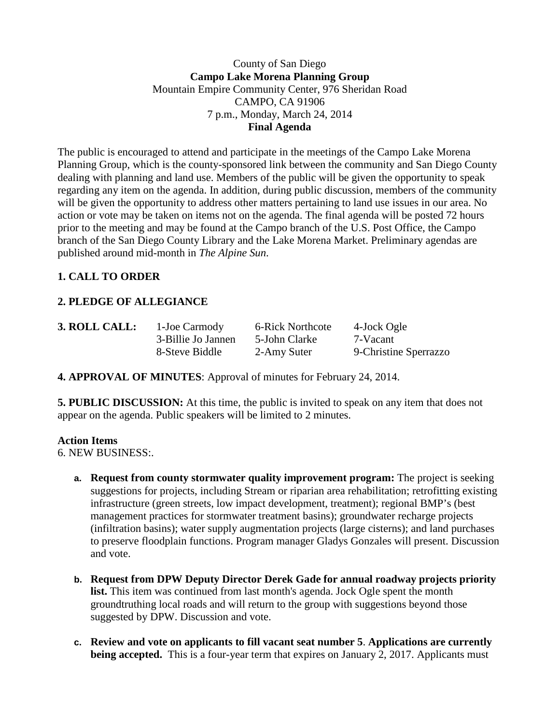### County of San Diego **Campo Lake Morena Planning Group** Mountain Empire Community Center, 976 Sheridan Road CAMPO, CA 91906 7 p.m., Monday, March 24, 2014 **Final Agenda**

The public is encouraged to attend and participate in the meetings of the Campo Lake Morena Planning Group, which is the county-sponsored link between the community and San Diego County dealing with planning and land use. Members of the public will be given the opportunity to speak regarding any item on the agenda. In addition, during public discussion, members of the community will be given the opportunity to address other matters pertaining to land use issues in our area. No action or vote may be taken on items not on the agenda. The final agenda will be posted 72 hours prior to the meeting and may be found at the Campo branch of the U.S. Post Office, the Campo branch of the San Diego County Library and the Lake Morena Market. Preliminary agendas are published around mid-month in *The Alpine Sun*.

## **1. CALL TO ORDER**

# **2. PLEDGE OF ALLEGIANCE**

| 3. ROLL CALL: | 1-Joe Carmody      | 6-Rick Northcote | 4-Jock Ogle           |
|---------------|--------------------|------------------|-----------------------|
|               | 3-Billie Jo Jannen | 5-John Clarke    | 7-Vacant              |
|               | 8-Steve Biddle     | 2-Amy Suter      | 9-Christine Sperrazzo |
|               |                    |                  |                       |

**4. APPROVAL OF MINUTES**: Approval of minutes for February 24, 2014.

**5. PUBLIC DISCUSSION:** At this time, the public is invited to speak on any item that does not appear on the agenda. Public speakers will be limited to 2 minutes.

#### **Action Items**

6. NEW BUSINESS:.

- **a. Request from county stormwater quality improvement program:** The project is seeking suggestions for projects, including Stream or riparian area rehabilitation; retrofitting existing infrastructure (green streets, low impact development, treatment); regional BMP's (best management practices for stormwater treatment basins); groundwater recharge projects (infiltration basins); water supply augmentation projects (large cisterns); and land purchases to preserve floodplain functions. Program manager Gladys Gonzales will present. Discussion and vote.
- **b. Request from DPW Deputy Director Derek Gade for annual roadway projects priority list.** This item was continued from last month's agenda. Jock Ogle spent the month groundtruthing local roads and will return to the group with suggestions beyond those suggested by DPW. Discussion and vote.
- **c. Review and vote on applicants to fill vacant seat number 5**. **Applications are currently being accepted.** This is a four-year term that expires on January 2, 2017. Applicants must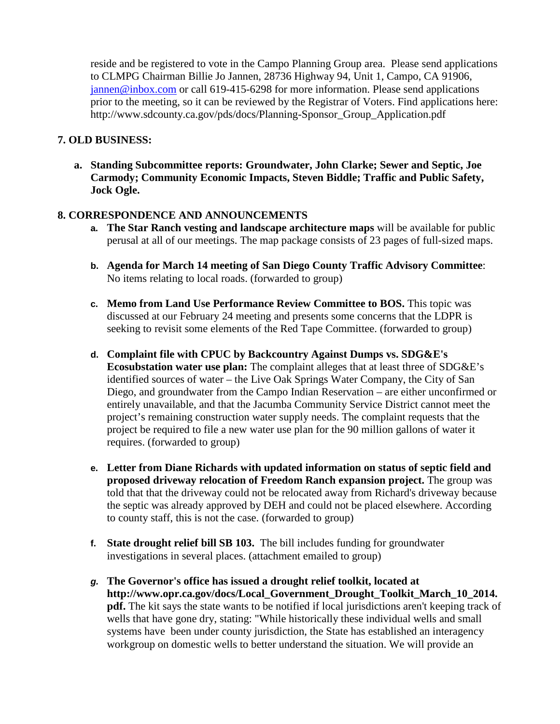reside and be registered to vote in the Campo Planning Group area. Please send applications to CLMPG Chairman Billie Jo Jannen, 28736 Highway 94, Unit 1, Campo, CA 91906, [jannen@inbox.com](mailto:campojoe@yahoo.com) or call 619-415-6298 for more information. Please send applications prior to the meeting, so it can be reviewed by the Registrar of Voters. Find applications here: http://www.sdcounty.ca.gov/pds/docs/Planning-Sponsor\_Group\_Application.pdf

#### **7. OLD BUSINESS:**

**a. Standing Subcommittee reports: Groundwater, John Clarke; Sewer and Septic, Joe Carmody; Community Economic Impacts, Steven Biddle; Traffic and Public Safety, Jock Ogle.**

### **8. CORRESPONDENCE AND ANNOUNCEMENTS**

- **a. The Star Ranch vesting and landscape architecture maps** will be available for public perusal at all of our meetings. The map package consists of 23 pages of full-sized maps.
- **b. Agenda for March 14 meeting of San Diego County Traffic Advisory Committee**: No items relating to local roads. (forwarded to group)
- **c. Memo from Land Use Performance Review Committee to BOS.** This topic was discussed at our February 24 meeting and presents some concerns that the LDPR is seeking to revisit some elements of the Red Tape Committee. (forwarded to group)
- **d. Complaint file with CPUC by Backcountry Against Dumps vs. SDG&E's Ecosubstation water use plan:** The complaint alleges that at least three of SDG&E's identified sources of water – the Live Oak Springs Water Company, the City of San Diego, and groundwater from the Campo Indian Reservation – are either unconfirmed or entirely unavailable, and that the Jacumba Community Service District cannot meet the project's remaining construction water supply needs. The complaint requests that the project be required to file a new water use plan for the 90 million gallons of water it requires. (forwarded to group)
- **e. Letter from Diane Richards with updated information on status of septic field and proposed driveway relocation of Freedom Ranch expansion project.** The group was told that that the driveway could not be relocated away from Richard's driveway because the septic was already approved by DEH and could not be placed elsewhere. According to county staff, this is not the case. (forwarded to group)
- **f. State drought relief bill SB 103.** The bill includes funding for groundwater investigations in several places. (attachment emailed to group)
- *g.* **The Governor's office has issued a drought relief toolkit, located at http://www.opr.ca.gov/docs/Local\_Government\_Drought\_Toolkit\_March\_10\_2014. pdf.** The kit says the state wants to be notified if local jurisdictions aren't keeping track of wells that have gone dry, stating: "While historically these individual wells and small systems have been under county jurisdiction, the State has established an interagency workgroup on domestic wells to better understand the situation. We will provide an